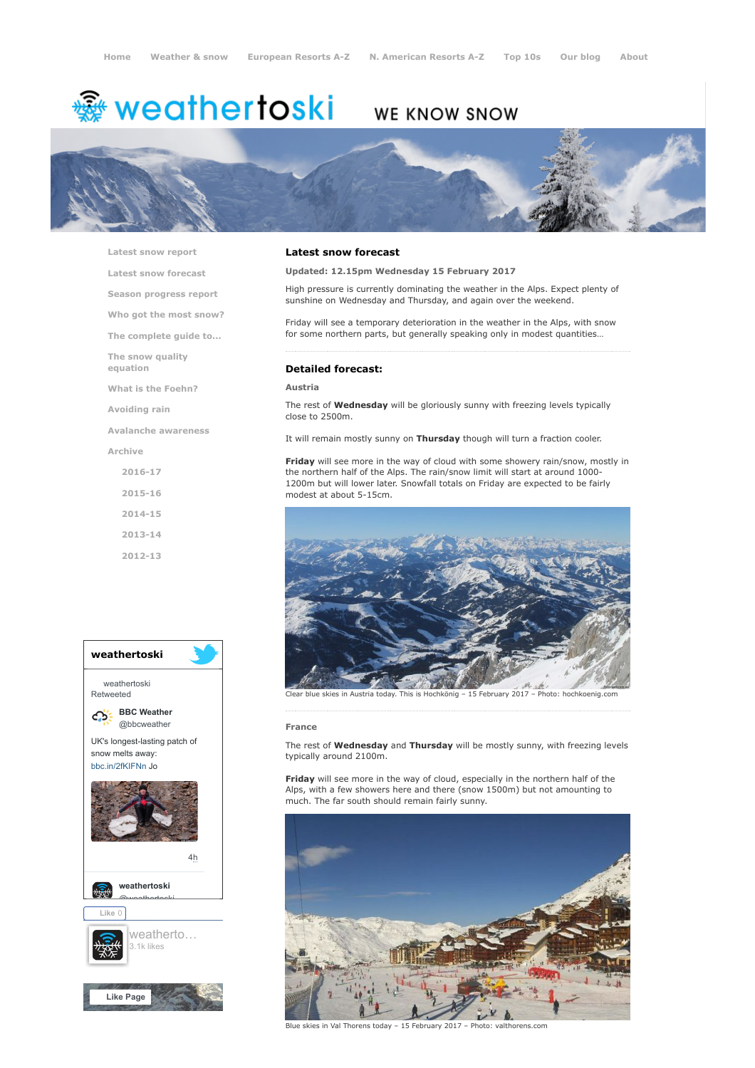# **鑾 weathertoski**

## WE KNOW SNOW



[Latest snow report](https://www.weathertoski.co.uk/weather-snow/latest-snow-report/)

[Latest snow forecast](https://www.weathertoski.co.uk/weather-snow/latest-snow-forecast/)

[Season progress report](https://www.weathertoski.co.uk/weather-snow/season-progress-report/)

[Who got the most snow?](https://www.weathertoski.co.uk/weather-snow/who-got-the-most-snow/)

[The complete guide to...](https://www.weathertoski.co.uk/weather-snow/the-complete-guide-to/)

[The snow quality](https://www.weathertoski.co.uk/weather-snow/the-snow-quality-equation/)

equation

[What is the Foehn?](https://www.weathertoski.co.uk/weather-snow/what-is-the-foehn/)

[Avoiding rain](https://www.weathertoski.co.uk/weather-snow/avoiding-rain/)

[Avalanche awareness](https://www.weathertoski.co.uk/weather-snow/avalanche-awareness/)

[Archive](https://www.weathertoski.co.uk/weather-snow/archive/)

[2016-17](https://www.weathertoski.co.uk/weather-snow/archive/2016-17/) [2015-16](https://www.weathertoski.co.uk/weather-snow/archive/2015-16/) [2014-15](https://www.weathertoski.co.uk/weather-snow/archive/2014-15/)

[2013-14](https://www.weathertoski.co.uk/weather-snow/archive/2013-14/)

[2012-13](https://www.weathertoski.co.uk/weather-snow/archive/2012-13/)



### Latest snow forecast

Updated: 12.15pm Wednesday 15 February 2017

High pressure is currently dominating the weather in the Alps. Expect plenty of sunshine on Wednesday and Thursday, and again over the weekend.

Friday will see a temporary deterioration in the weather in the Alps, with snow for some northern parts, but generally speaking only in modest quantities…

### Detailed forecast:

### Austria

The rest of **Wednesday** will be gloriously sunny with freezing levels typically close to 2500m.

It will remain mostly sunny on Thursday though will turn a fraction cooler.

Friday will see more in the way of cloud with some showery rain/snow, mostly in the northern half of the Alps. The rain/snow limit will start at around 1000- 1200m but will lower later. Snowfall totals on Friday are expected to be fairly modest at about 5-15cm.



Clear blue skies in Austria today. This is Hochkönig – 15 February 2017 – Photo: hochkoenig.com

#### France

The rest of Wednesday and Thursday will be mostly sunny, with freezing levels typically around 2100m.

Friday will see more in the way of cloud, especially in the northern half of the Alps, with a few showers here and there (snow 1500m) but not amounting to much. The far south should remain fairly sunny.



Blue skies in Val Thorens today – 15 February 2017 – Photo: valthorens.com